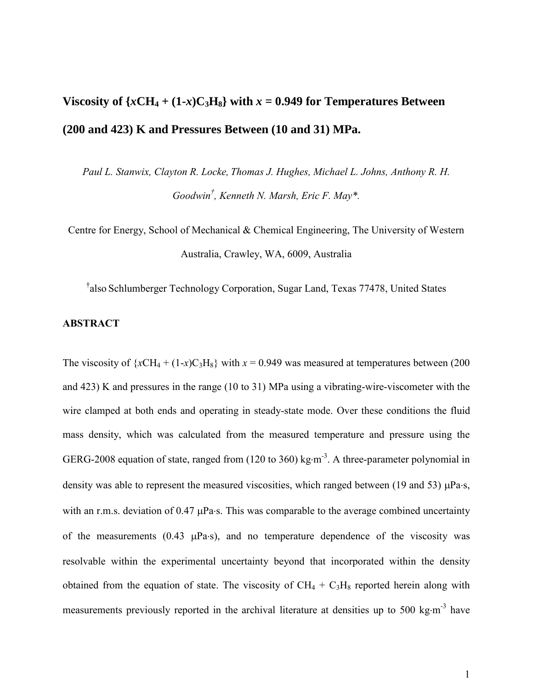# **Viscosity of**  $\{xCH_4 + (1-x)C_3H_8\}$  **with**  $x = 0.949$  **for Temperatures Between (200 and 423) K and Pressures Between (10 and 31) MPa.**

*Paul L. Stanwix, Clayton R. Locke, Thomas J. Hughes, Michael L. Johns, Anthony R. H. Goodwin† , Kenneth N. Marsh, Eric F. May\*.*

Centre for Energy, School of Mechanical & Chemical Engineering, The University of Western Australia, Crawley, WA, 6009, Australia

† also Schlumberger Technology Corporation, Sugar Land, Texas 77478, United States

## **ABSTRACT**

The viscosity of  $\{xCH_4 + (1-x)C_3H_8\}$  with  $x = 0.949$  was measured at temperatures between (200) and 423) K and pressures in the range (10 to 31) MPa using a vibrating-wire-viscometer with the wire clamped at both ends and operating in steady-state mode. Over these conditions the fluid mass density, which was calculated from the measured temperature and pressure using the GERG-2008 equation of state, ranged from  $(120 \text{ to } 360)$  kg·m<sup>-3</sup>. A three-parameter polynomial in density was able to represent the measured viscosities, which ranged between (19 and 53)  $\mu$ Pa·s, with an r.m.s. deviation of  $0.47 \mu Pa$ s. This was comparable to the average combined uncertainty of the measurements  $(0.43 \mu Pa \cdot s)$ , and no temperature dependence of the viscosity was resolvable within the experimental uncertainty beyond that incorporated within the density obtained from the equation of state. The viscosity of  $CH_4 + C_3H_8$  reported herein along with measurements previously reported in the archival literature at densities up to 500 kg $\cdot$ m<sup>-3</sup> have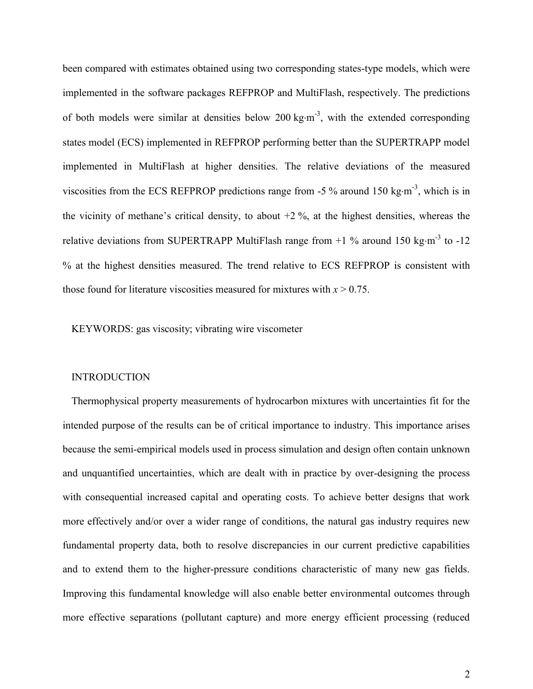been compared with estimates obtained using two corresponding states-type models, which were implemented in the software packages REFPROP and MultiFlash, respectively. The predictions of both models were similar at densities below 200 kg $\cdot$ m<sup>-3</sup>, with the extended corresponding states model (ECS) implemented in REFPROP performing better than the SUPERTRAPP model implemented in MultiFlash at higher densities. The relative deviations of the measured viscosities from the ECS REFPROP predictions range from -5  $\%$  around 150 kg·m<sup>-3</sup>, which is in the vicinity of methane's critical density, to about  $+2\%$ , at the highest densities, whereas the relative deviations from SUPERTRAPP MultiFlash range from  $+1$  % around 150 kg·m<sup>-3</sup> to -12 % at the highest densities measured. The trend relative to ECS REFPROP is consistent with those found for literature viscosities measured for mixtures with  $x > 0.75$ .

KEYWORDS: gas viscosity; vibrating wire viscometer

#### **INTRODUCTION**

Thermophysical property measurements of hydrocarbon mixtures with uncertainties fit for the intended purpose of the results can be of critical importance to industry. This importance arises because the semi-empirical models used in process simulation and design often contain unknown and unquantified uncertainties, which are dealt with in practice by over-designing the process with consequential increased capital and operating costs. To achieve better designs that work more effectively and/or over a wider range of conditions, the natural gas industry requires new fundamental property data, both to resolve discrepancies in our current predictive capabilities and to extend them to the higher-pressure conditions characteristic of many new gas fields. Improving this fundamental knowledge will also enable better environmental outcomes through more effective separations (pollutant capture) and more energy efficient processing (reduced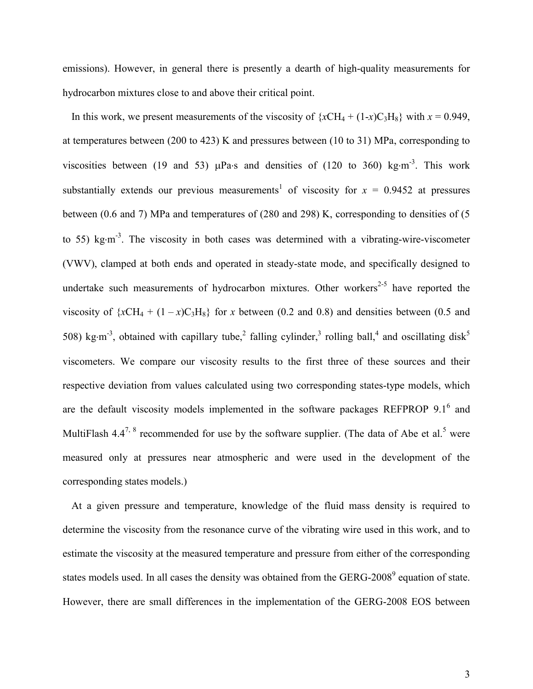emissions). However, in general there is presently a dearth of high-quality measurements for hydrocarbon mixtures close to and above their critical point.

In this work, we present measurements of the viscosity of  $\{xCH_4 + (1-x)C_3H_8\}$  with  $x = 0.949$ , at temperatures between (200 to 423) K and pressures between (10 to 31) MPa, corresponding to viscosities between (19 and 53)  $\mu$ Pa·s and densities of (120 to 360) kg·m<sup>-3</sup>. This work [s](#page-12-0)ubstantially extends our previous measurements<sup>1</sup> of viscosity for  $x = 0.9452$  at pressures between (0.6 and 7) MPa and temperatures of (280 and 298) K, corresponding to densities of (5 to 55) kg $\cdot$ m<sup>-3</sup>. The viscosity in both cases was determined with a vibrating-wire-viscometer (VWV), clamped at both ends and operated in steady-state mode, and specifically designed to undertake such measurements of hydrocarbon mixtures. Other workers<sup>[2-5](#page-12-1)</sup> have reported the viscosity of  $\{xCH_4 + (1 - x)C_3H_8\}$  for *x* between (0.2 and 0.8) and densities between (0.5 and 508) kg·m<sup>-3</sup>, obtained with capillary tube,<sup>[2](#page-12-1)</sup> falling cylinder,<sup>[3](#page-12-2)</sup> rolling ball,<sup>[4](#page-12-3)</sup> and oscillating disk<sup>[5](#page-12-4)</sup> viscometers. We compare our viscosity results to the first three of these sources and their respective deviation from values calculated using two corresponding states-type models, which are the default viscosity models implemented in the software packages REFPROP  $9.1<sup>6</sup>$  $9.1<sup>6</sup>$  $9.1<sup>6</sup>$  and MultiFlash 4.4<sup>[7,](#page-12-6) [8](#page-12-7)</sup> recommended for use by the software supplier[.](#page-12-4) (The data of Abe et al.<sup>5</sup> were measured only at pressures near atmospheric and were used in the development of the corresponding states models.)

At a given pressure and temperature, knowledge of the fluid mass density is required to determine the viscosity from the resonance curve of the vibrating wire used in this work, and to estimate the viscosity at the measured temperature and pressure from either of the corresponding states models used. In all cases the density was obtained from the GERG-200[8](#page-12-8) $^9$  equation of state. However, there are small differences in the implementation of the GERG-2008 EOS between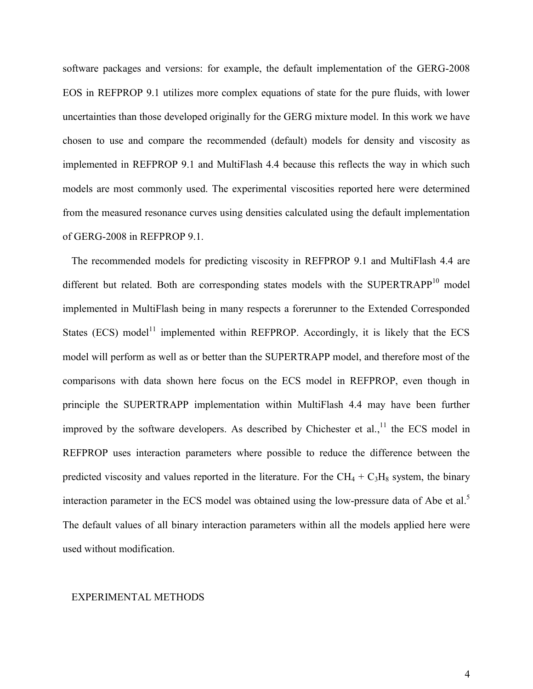software packages and versions: for example, the default implementation of the GERG-2008 EOS in REFPROP 9.1 utilizes more complex equations of state for the pure fluids, with lower uncertainties than those developed originally for the GERG mixture model. In this work we have chosen to use and compare the recommended (default) models for density and viscosity as implemented in REFPROP 9.1 and MultiFlash 4.4 because this reflects the way in which such models are most commonly used. The experimental viscosities reported here were determined from the measured resonance curves using densities calculated using the default implementation of GERG-2008 in REFPROP 9.1.

The recommended models for predicting viscosity in REFPROP 9.1 and MultiFlash 4.4 are different but related. Both are corresponding states models with the SUPERTRAPP<sup>[10](#page-12-9)</sup> model implemented in MultiFlash being in many respects a forerunner to the Extended Corresponded States (ECS) model<sup>[11](#page-12-10)</sup> implemented within REFPROP. Accordingly, it is likely that the ECS model will perform as well as or better than the SUPERTRAPP model, and therefore most of the comparisons with data shown here focus on the ECS model in REFPROP, even though in principle the SUPERTRAPP implementation within MultiFlash 4.4 may have been further improved by the software developers. As described by Chichester et al.,  $\frac{11}{11}$  $\frac{11}{11}$  $\frac{11}{11}$  the ECS model in REFPROP uses interaction parameters where possible to reduce the difference between the predicted viscosity and values reported in the literature. For the  $CH_4 + C_3H_8$  system, the binary interaction parameter in the ECS model was obtained using the low-pressure data of Abe et al.<sup>[5](#page-12-4)</sup> The default values of all binary interaction parameters within all the models applied here were used without modification.

#### EXPERIMENTAL METHODS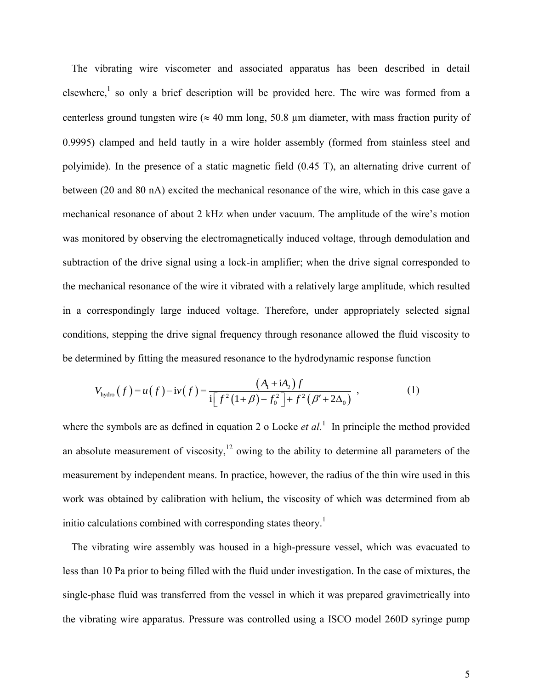The vibrating wire viscometer and associated apparatus has been described in detail elsewhere,<sup>[1](#page-12-0)</sup> so only a brief description will be provided here. The wire was formed from a centerless ground tungsten wire ( $\approx 40$  mm long, 50.8 µm diameter, with mass fraction purity of 0.9995) clamped and held tautly in a wire holder assembly (formed from stainless steel and polyimide). In the presence of a static magnetic field (0.45 T), an alternating drive current of between (20 and 80 nA) excited the mechanical resonance of the wire, which in this case gave a mechanical resonance of about 2 kHz when under vacuum. The amplitude of the wire's motion was monitored by observing the electromagnetically induced voltage, through demodulation and subtraction of the drive signal using a lock-in amplifier; when the drive signal corresponded to the mechanical resonance of the wire it vibrated with a relatively large amplitude, which resulted in a correspondingly large induced voltage. Therefore, under appropriately selected signal conditions, stepping the drive signal frequency through resonance allowed the fluid viscosity to

be determined by fitting the measured resonance to the hydrodynamic response function  
\n
$$
V_{\text{hydro}}(f) = u(f) - iv(f) = \frac{(A_1 + iA_2)f}{i[f^2(1+\beta) - f_0^2] + f^2(\beta' + 2\Delta_0)},
$$
\n(1)

where the symbols are as defined in equation 2 o Locke *et al*.<sup>[1](#page-12-0)</sup> In principle the method provided an absolute measurement of viscosity,  $12$  owing to the ability to determine all parameters of the measurement by independent means. In practice, however, the radius of the thin wire used in this work was obtained by calibration with helium, the viscosity of which was determined from ab initio calculations combined with corresponding states theory.<sup>[1](#page-12-0)</sup>

The vibrating wire assembly was housed in a high-pressure vessel, which was evacuated to less than 10 Pa prior to being filled with the fluid under investigation. In the case of mixtures, the single-phase fluid was transferred from the vessel in which it was prepared gravimetrically into the vibrating wire apparatus. Pressure was controlled using a ISCO model 260D syringe pump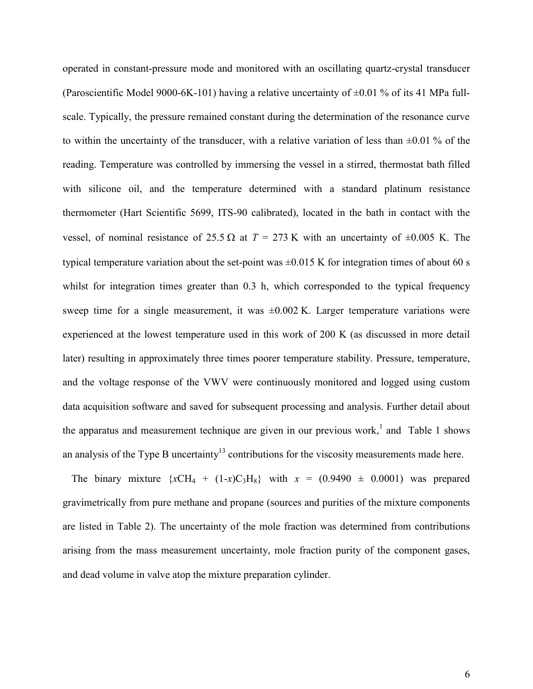operated in constant-pressure mode and monitored with an oscillating quartz-crystal transducer (Paroscientific Model 9000-6K-101) having a relative uncertainty of  $\pm 0.01$  % of its 41 MPa fullscale. Typically, the pressure remained constant during the determination of the resonance curve to within the uncertainty of the transducer, with a relative variation of less than  $\pm 0.01$  % of the reading. Temperature was controlled by immersing the vessel in a stirred, thermostat bath filled with silicone oil, and the temperature determined with a standard platinum resistance thermometer (Hart Scientific 5699, ITS-90 calibrated), located in the bath in contact with the vessel, of nominal resistance of 25.5  $\Omega$  at  $T = 273$  K with an uncertainty of  $\pm 0.005$  K. The typical temperature variation about the set-point was  $\pm 0.015$  K for integration times of about 60 s whilst for integration times greater than 0.3 h, which corresponded to the typical frequency sweep time for a single measurement, it was  $\pm 0.002$  K. Larger temperature variations were experienced at the lowest temperature used in this work of 200 K (as discussed in more detail later) resulting in approximately three times poorer temperature stability. Pressure, temperature, and the voltage response of the VWV were continuously monitored and logged using custom data acquisition software and saved for subsequent processing and analysis. Further detail about the apparatus and measurement technique are given in our previous work[,](#page-12-0)<sup>1</sup> and [Table](#page-13-1) 1 shows an analysis of the Type B uncertainty<sup>[13](#page-13-2)</sup> contributions for the viscosity measurements made here.

The binary mixture  $\{xCH_4 + (1-x)C_3H_8\}$  with  $x = (0.9490 \pm 0.0001)$  was prepared gravimetrically from pure methane and propane (sources and purities of the mixture components are listed in [Table 2\)](#page-13-3). The uncertainty of the mole fraction was determined from contributions arising from the mass measurement uncertainty, mole fraction purity of the component gases, and dead volume in valve atop the mixture preparation cylinder.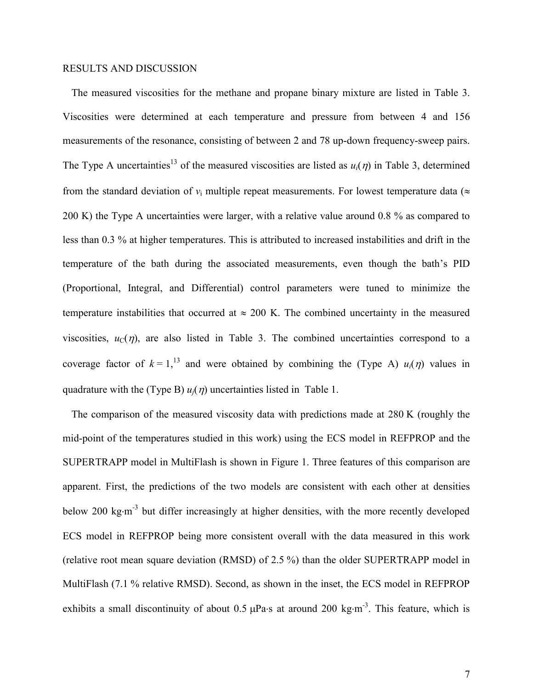#### RESULTS AND DISCUSSION

The measured viscosities for the methane and propane binary mixture are listed in [Table 3.](#page-14-0) Viscosities were determined at each temperature and pressure from between 4 and 156 measurements of the resonance, consisting of between 2 and 78 up-down frequency-sweep pairs. The Type A uncertainties<sup>[13](#page-13-2)</sup> of the measured viscosities are listed as  $u_i(\eta)$  in [Table 3,](#page-14-0) determined from the standard deviation of  $v_i$  multiple repeat measurements. For lowest temperature data ( $\approx$ 200 K) the Type A uncertainties were larger, with a relative value around 0.8 % as compared to less than 0.3 % at higher temperatures. This is attributed to increased instabilities and drift in the temperature of the bath during the associated measurements, even though the bath's PID (Proportional, Integral, and Differential) control parameters were tuned to minimize the temperature instabilities that occurred at  $\approx 200$  K. The combined uncertainty in the measured viscosities,  $u<sub>C</sub>(\eta)$ , are also listed in [Table 3.](#page-14-0) The combined uncertainties correspond to a coverage factor of  $k = 1$ ,<sup>[13](#page-13-2)</sup> and were obtained by combining the (Type A)  $u_i(\eta)$  values in quadrature with the (Type B)  $u_i(\eta)$  uncertainties listed in [Table](#page-13-1) 1.

The comparison of the measured viscosity data with predictions made at 280 K (roughly the mid-point of the temperatures studied in this work) using the ECS model in REFPROP and the SUPERTRAPP model in MultiFlash is shown in [Figure 1.](#page-15-0) Three features of this comparison are apparent. First, the predictions of the two models are consistent with each other at densities below 200 kg·m<sup>-3</sup> but differ increasingly at higher densities, with the more recently developed ECS model in REFPROP being more consistent overall with the data measured in this work (relative root mean square deviation (RMSD) of 2.5 %) than the older SUPERTRAPP model in MultiFlash (7.1 % relative RMSD). Second, as shown in the inset, the ECS model in REFPROP exhibits a small discontinuity of about  $0.5 \mu Pa$  s at around  $200 \text{ kg} \cdot \text{m}^{-3}$ . This feature, which is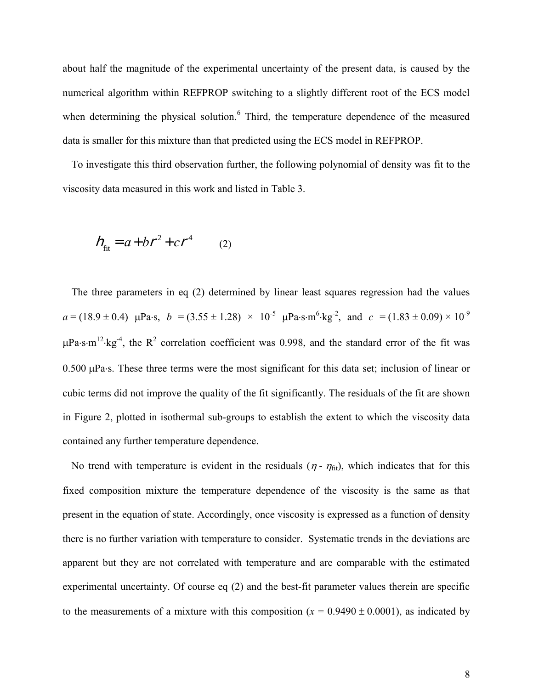about half the magnitude of the experimental uncertainty of the present data, is caused by the numerical algorithm within REFPROP switching to a slightly different root of the ECS model when determining the physical solution.<sup>[6](#page-12-5)</sup> Third, the temperature dependence of the measured data is smaller for this mixture than that predicted using the ECS model in REFPROP.

To investigate this third observation further, the following polynomial of density was fit to the viscosity data measured in this work and listed in [Table 3.](#page-14-0)

<span id="page-7-0"></span>
$$
h_{\text{fit}} = a + b r^2 + c r^4 \qquad (2)
$$

The three parameters in eq [\(2\)](#page-7-0) determined by linear least squares regression had the values  $a = (18.9 \pm 0.4)$  µPa·s,  $b = (3.55 \pm 1.28) \times 10^{-5}$  µPa·s·m<sup>6</sup>·kg<sup>-2</sup>, and  $c = (1.83 \pm 0.09) \times 10^{-9}$  $\mu$ Pa·s·m<sup>12</sup>·kg<sup>-4</sup>, the R<sup>2</sup> correlation coefficient was 0.998, and the standard error of the fit was  $0.500 \mu$ Pa·s. These three terms were the most significant for this data set; inclusion of linear or cubic terms did not improve the quality of the fit significantly. The residuals of the fit are shown in [Figure 2,](#page-16-0) plotted in isothermal sub-groups to establish the extent to which the viscosity data contained any further temperature dependence.

No trend with temperature is evident in the residuals ( $\eta$  -  $\eta_{\text{fit}}$ ), which indicates that for this fixed composition mixture the temperature dependence of the viscosity is the same as that present in the equation of state. Accordingly, once viscosity is expressed as a function of density there is no further variation with temperature to consider. Systematic trends in the deviations are apparent but they are not correlated with temperature and are comparable with the estimated experimental uncertainty. Of course eq [\(2\)](#page-7-0) and the best-fit parameter values therein are specific to the measurements of a mixture with this composition ( $x = 0.9490 \pm 0.0001$ ), as indicated by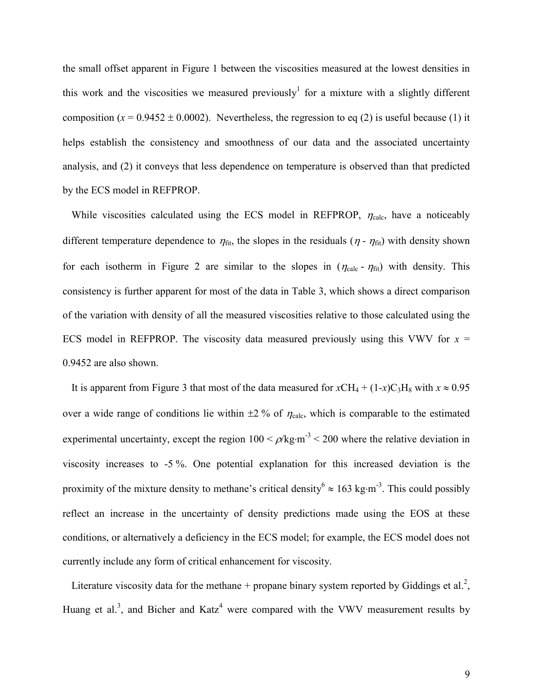the small offset apparent in [Figure 1](#page-15-0) between the viscosities measured at the lowest densities in this work and the viscosities we measured previously<sup>[1](#page-12-0)</sup> for a mixture with a slightly different composition  $(x = 0.9452 \pm 0.0002)$ . Nevertheless, the regression to eq [\(2\)](#page-7-0) is useful because (1) it helps establish the consistency and smoothness of our data and the associated uncertainty analysis, and (2) it conveys that less dependence on temperature is observed than that predicted by the ECS model in REFPROP.

While viscosities calculated using the ECS model in REFPROP,  $\eta_{\text{calc}}$ , have a noticeably different temperature dependence to  $\eta_{\text{fit}}$ , the slopes in the residuals ( $\eta$  -  $\eta_{\text{fit}}$ ) with density shown for each isotherm in [Figure 2](#page-16-0) are similar to the slopes in  $(\eta_{\text{calc}} - \eta_{\text{fit}})$  with density. This consistency is further apparent for most of the data in [Table 3,](#page-14-0) which shows a direct comparison of the variation with density of all the measured viscosities relative to those calculated using the ECS model in REFPROP. The viscosity data measured previously using this VWV for  $x =$ 0.9452 are also shown.

It is apparent from [Figure 3](#page-17-0) that most of the data measured for  $xCH_4 + (1-x)C_3H_8$  with  $x \approx 0.95$ over a wide range of conditions lie within  $\pm 2$  % of  $\eta_{\text{calc}}$ , which is comparable to the estimated experimental uncertainty, except the region  $100 < \rho/kg \cdot m^{-3} < 200$  where the relative deviation in viscosity increases to -5 %. One potential explanation for this increased deviation is the proximity of the mixture density to methane's critical density<sup>[6](#page-12-5)</sup>  $\approx 163 \text{ kg} \cdot \text{m}^{-3}$ . This could possibly reflect an increase in the uncertainty of density predictions made using the EOS at these conditions, or alternatively a deficiency in the ECS model; for example, the ECS model does not currently include any form of critical enhancement for viscosity.

Literature viscosity data for the methane + propane binary system reported by Giddings et al.<sup>[2](#page-12-1)</sup>, Huang et al[.](#page-12-2)<sup>3</sup>, and Bicher and Katz<sup>[4](#page-12-3)</sup> were compared with the VWV measurement results by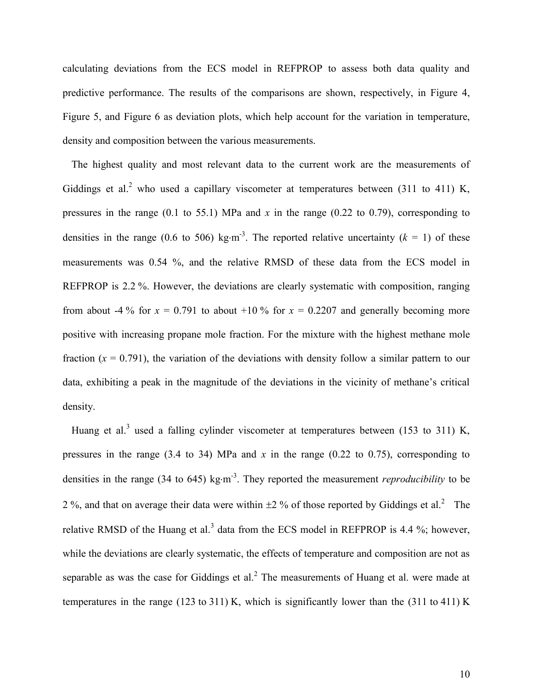calculating deviations from the ECS model in REFPROP to assess both data quality and predictive performance. The results of the comparisons are shown, respectively, in [Figure 4,](#page-18-0) [Figure 5,](#page-19-0) and [Figure 6](#page-20-0) as deviation plots, which help account for the variation in temperature, density and composition between the various measurements.

The highest quality and most relevant data to the current work are the measurements of Giddings et al.<sup>[2](#page-12-1)</sup> who used a capillary viscometer at temperatures between (311 to 411) K, pressures in the range (0.1 to 55.1) MPa and *x* in the range (0.22 to 0.79), corresponding to densities in the range (0.6 to 506) kg·m<sup>-3</sup>. The reported relative uncertainty ( $k = 1$ ) of these measurements was 0.54 %, and the relative RMSD of these data from the ECS model in REFPROP is 2.2 %. However, the deviations are clearly systematic with composition, ranging from about -4 % for  $x = 0.791$  to about +10 % for  $x = 0.2207$  and generally becoming more positive with increasing propane mole fraction. For the mixture with the highest methane mole fraction  $(x = 0.791)$ , the variation of the deviations with density follow a similar pattern to our data, exhibiting a peak in the magnitude of the deviations in the vicinity of methane's critical density.

Huang et al.<sup>[3](#page-12-2)</sup> used a falling cylinder viscometer at temperatures between (153 to 311) K, pressures in the range (3.4 to 34) MPa and *x* in the range (0.22 to 0.75), corresponding to densities in the range (34 to 645) kg·m<sup>-3</sup>. They reported the measurement *reproducibility* to be [2](#page-12-1)%, and that on average their data were within  $\pm$ 2% of those reported by Giddings et al.<sup>2</sup> The relative RMSD of the Huang et al.<sup>[3](#page-12-2)</sup> data from the ECS model in REFPROP is 4.4 %; however, while the deviations are clearly systematic, the effects of temperature and composition are not as separable as was the case for Giddings et al.<sup>[2](#page-12-1)</sup> The measurements of Huang et al. were made at temperatures in the range (123 to 311) K, which is significantly lower than the (311 to 411) K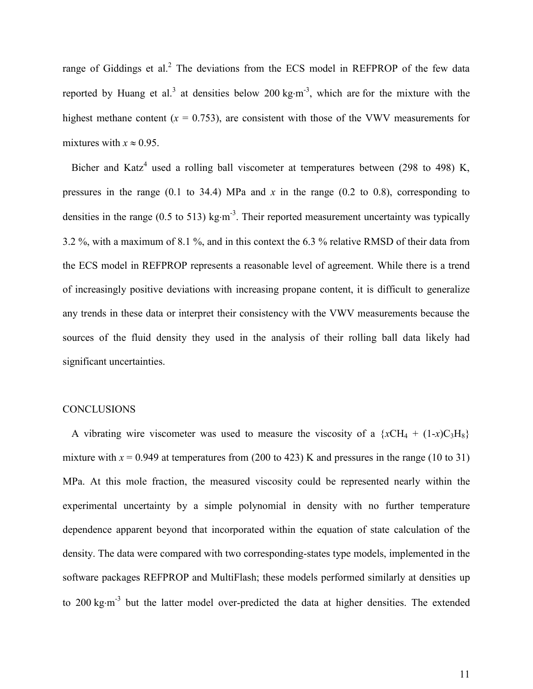range of Giddings et al. $2$  The deviations from the ECS model in REFPROP of the few data reported by Huang et al.<sup>[3](#page-12-2)</sup> at densities below 200 kg·m<sup>-3</sup>, which are for the mixture with the highest methane content  $(x = 0.753)$ , are consistent with those of the VWV measurements for mixtures with  $x \approx 0.95$ .

Bicher and Katz<sup>[4](#page-12-3)</sup> used a rolling ball viscometer at temperatures between (298 to 498) K, pressures in the range (0.1 to 34.4) MPa and *x* in the range (0.2 to 0.8), corresponding to densities in the range (0.5 to 513) kg $\cdot$ m<sup>-3</sup>. Their reported measurement uncertainty was typically 3.2 %, with a maximum of 8.1 %, and in this context the 6.3 % relative RMSD of their data from the ECS model in REFPROP represents a reasonable level of agreement. While there is a trend of increasingly positive deviations with increasing propane content, it is difficult to generalize any trends in these data or interpret their consistency with the VWV measurements because the sources of the fluid density they used in the analysis of their rolling ball data likely had significant uncertainties.

#### **CONCLUSIONS**

A vibrating wire viscometer was used to measure the viscosity of a  $\{xCH_4 + (1-x)C_3H_8\}$ mixture with  $x = 0.949$  at temperatures from (200 to 423) K and pressures in the range (10 to 31) MPa. At this mole fraction, the measured viscosity could be represented nearly within the experimental uncertainty by a simple polynomial in density with no further temperature dependence apparent beyond that incorporated within the equation of state calculation of the density. The data were compared with two corresponding-states type models, implemented in the software packages REFPROP and MultiFlash; these models performed similarly at densities up to 200 kg·m<sup>-3</sup> but the latter model over-predicted the data at higher densities. The extended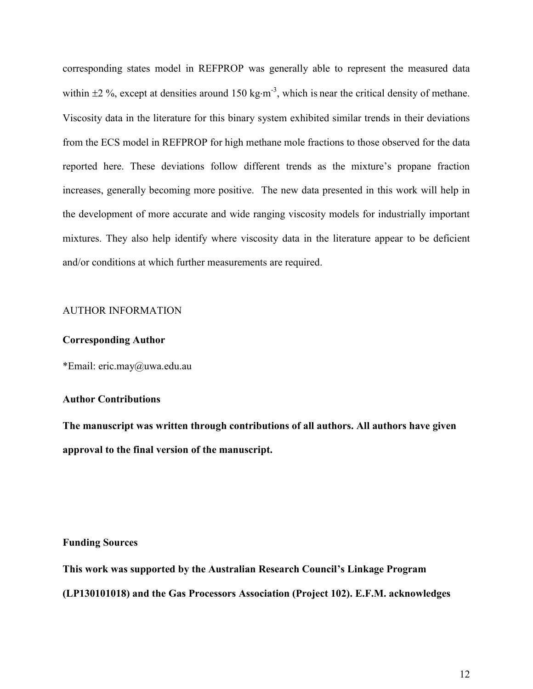corresponding states model in REFPROP was generally able to represent the measured data within  $\pm 2\%$ , except at densities around 150 kg·m<sup>-3</sup>, which is near the critical density of methane. Viscosity data in the literature for this binary system exhibited similar trends in their deviations from the ECS model in REFPROP for high methane mole fractions to those observed for the data reported here. These deviations follow different trends as the mixture's propane fraction increases, generally becoming more positive. The new data presented in this work will help in the development of more accurate and wide ranging viscosity models for industrially important mixtures. They also help identify where viscosity data in the literature appear to be deficient and/or conditions at which further measurements are required.

#### AUTHOR INFORMATION

## **Corresponding Author**

\*Email: eric.may@uwa.edu.au

#### **Author Contributions**

**The manuscript was written through contributions of all authors. All authors have given approval to the final version of the manuscript.**

#### **Funding Sources**

**This work was supported by the Australian Research Council's Linkage Program (LP130101018) and the Gas Processors Association (Project 102). E.F.M. acknowledges**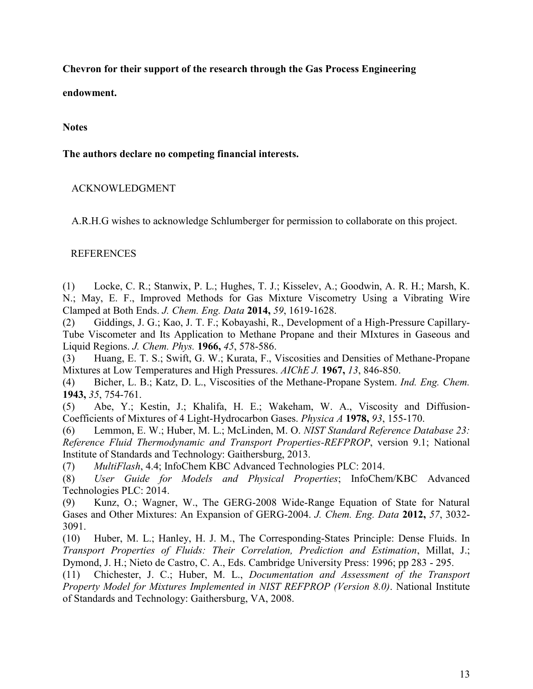**Chevron for their support of the research through the Gas Process Engineering** 

**endowment.**

## **Notes**

**The authors declare no competing financial interests.**

# ACKNOWLEDGMENT

A.R.H.G wishes to acknowledge Schlumberger for permission to collaborate on this project.

# REFERENCES

<span id="page-12-0"></span>(1) Locke, C. R.; Stanwix, P. L.; Hughes, T. J.; Kisselev, A.; Goodwin, A. R. H.; Marsh, K. N.; May, E. F., Improved Methods for Gas Mixture Viscometry Using a Vibrating Wire Clamped at Both Ends. *J. Chem. Eng. Data* **2014,** *59*, 1619-1628.

<span id="page-12-1"></span>(2) Giddings, J. G.; Kao, J. T. F.; Kobayashi, R., Development of a High-Pressure Capillary-Tube Viscometer and Its Application to Methane Propane and their MIxtures in Gaseous and Liquid Regions. *J. Chem. Phys.* **1966,** *45*, 578-586.

<span id="page-12-2"></span>(3) Huang, E. T. S.; Swift, G. W.; Kurata, F., Viscosities and Densities of Methane-Propane Mixtures at Low Temperatures and High Pressures. *AIChE J.* **1967,** *13*, 846-850.

<span id="page-12-3"></span>(4) Bicher, L. B.; Katz, D. L., Viscosities of the Methane-Propane System. *Ind. Eng. Chem.*  **1943,** *35*, 754-761.

<span id="page-12-4"></span>(5) Abe, Y.; Kestin, J.; Khalifa, H. E.; Wakeham, W. A., Viscosity and Diffusion-Coefficients of Mixtures of 4 Light-Hydrocarbon Gases. *Physica A* **1978,** *93*, 155-170.

<span id="page-12-5"></span>(6) Lemmon, E. W.; Huber, M. L.; McLinden, M. O. *NIST Standard Reference Database 23: Reference Fluid Thermodynamic and Transport Properties-REFPROP*, version 9.1; National Institute of Standards and Technology: Gaithersburg, 2013.

<span id="page-12-6"></span>(7) *MultiFlash*, 4.4; InfoChem KBC Advanced Technologies PLC: 2014.

<span id="page-12-7"></span>(8) *User Guide for Models and Physical Properties*; InfoChem/KBC Advanced Technologies PLC: 2014.

<span id="page-12-8"></span>(9) Kunz, O.; Wagner, W., The GERG-2008 Wide-Range Equation of State for Natural Gases and Other Mixtures: An Expansion of GERG-2004. *J. Chem. Eng. Data* **2012,** *57*, 3032- 3091.

<span id="page-12-9"></span>(10) Huber, M. L.; Hanley, H. J. M., The Corresponding-States Principle: Dense Fluids. In *Transport Properties of Fluids: Their Correlation, Prediction and Estimation*, Millat, J.; Dymond, J. H.; Nieto de Castro, C. A., Eds. Cambridge University Press: 1996; pp 283 - 295.

<span id="page-12-10"></span>(11) Chichester, J. C.; Huber, M. L., *Documentation and Assessment of the Transport Property Model for Mixtures Implemented in NIST REFPROP (Version 8.0)*. National Institute of Standards and Technology: Gaithersburg, VA, 2008.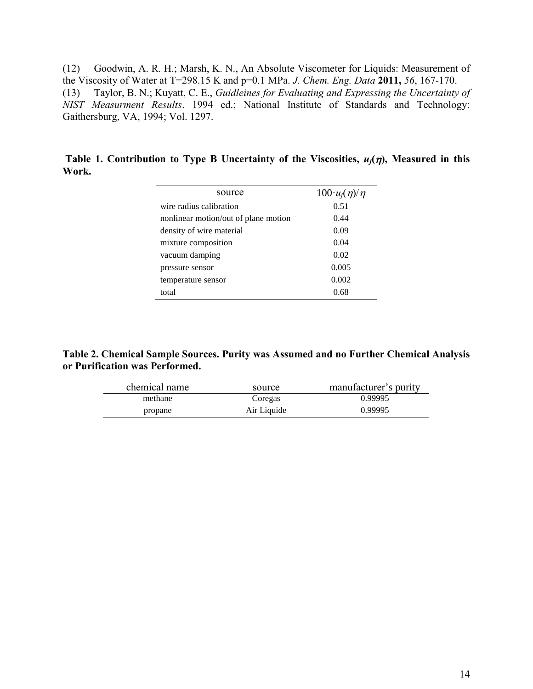<span id="page-13-2"></span><span id="page-13-0"></span>(12) Goodwin, A. R. H.; Marsh, K. N., An Absolute Viscometer for Liquids: Measurement of the Viscosity of Water at T=298.15 K and p=0.1 MPa. *J. Chem. Eng. Data* **2011,** *56*, 167-170. (13) Taylor, B. N.; Kuyatt, C. E., *Guidleines for Evaluating and Expressing the Uncertainty of NIST Measurment Results*. 1994 ed.; National Institute of Standards and Technology: Gaithersburg, VA, 1994; Vol. 1297.

<span id="page-13-1"></span>Table 1. Contribution to Type B Uncertainty of the Viscosities,  $u_i(\eta)$ , Measured in this **Work.**

| source                               | $100 \cdot u_i(\eta)/\eta$ |
|--------------------------------------|----------------------------|
| wire radius calibration              | 0.51                       |
| nonlinear motion/out of plane motion | 0.44                       |
| density of wire material             | 0.09                       |
| mixture composition                  | 0.04                       |
| vacuum damping                       | 0.02                       |
| pressure sensor                      | 0.005                      |
| temperature sensor                   | 0.002                      |
| total                                | 0.68                       |

<span id="page-13-3"></span>**Table 2. Chemical Sample Sources. Purity was Assumed and no Further Chemical Analysis or Purification was Performed.**

| chemical name | source      | manufacturer's purity |
|---------------|-------------|-----------------------|
| methane       | Coregas     | 0.99995               |
| propane       | Air Liquide | 0.99995               |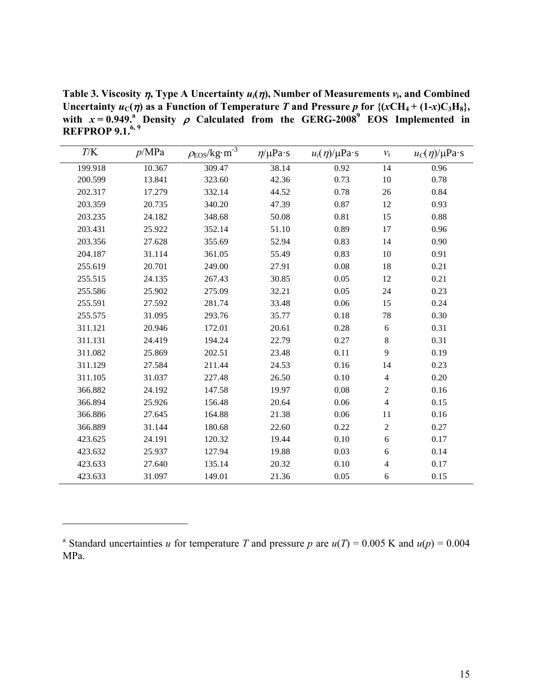<span id="page-14-0"></span>**Table 3. Viscosity**  $\eta$ **, Type A Uncertainty**  $u_i(\eta)$ **, Number of Measurements**  $v_i$ **, and Combined Uncertainty**  $u_C(\eta)$  **as a Function of Temperature** *T* **and Pressure** *p* **for**  $\{(xCH_4 + (1-x)C_3H_8)\}$ **,** with  $x = 0.949$ .<sup>2</sup> Density  $\rho$  Calculated from the GERG-200[8](#page-12-8)<sup>9</sup> EOS Implemented in **REFPROP 9.1.[6,](#page-12-5) [9](#page-12-8)**

| T/K     | p/MPa  | $\rho_{\rm EOS}/\rm kg\!\cdot\!m^{\text{-}3}$ | $\eta/\mu Pa \cdot s$ | $u_i(\eta)/\mu \text{Pa} \cdot \text{s}$ | $v_i$          | $u_C(\eta)/\mu\mathrm{Pa\cdot s}$ |
|---------|--------|-----------------------------------------------|-----------------------|------------------------------------------|----------------|-----------------------------------|
| 199.918 | 10.367 | 309.47                                        | 38.14                 | 0.92                                     | 14             | 0.96                              |
| 200.599 | 13.841 | 323.60                                        | 42.36                 | 0.73                                     | 10             | 0.78                              |
| 202.317 | 17.279 | 332.14                                        | 44.52                 | 0.78                                     | 26             | 0.84                              |
| 203.359 | 20.735 | 340.20                                        | 47.39                 | 0.87                                     | 12             | 0.93                              |
| 203.235 | 24.182 | 348.68                                        | 50.08                 | 0.81                                     | 15             | 0.88                              |
| 203.431 | 25.922 | 352.14                                        | 51.10                 | 0.89                                     | 17             | 0.96                              |
| 203.356 | 27.628 | 355.69                                        | 52.94                 | 0.83                                     | 14             | 0.90                              |
| 204.187 | 31.114 | 361.05                                        | 55.49                 | 0.83                                     | 10             | 0.91                              |
| 255.619 | 20.701 | 249.00                                        | 27.91                 | 0.08                                     | 18             | 0.21                              |
| 255.515 | 24.135 | 267.43                                        | 30.85                 | 0.05                                     | 12             | 0.21                              |
| 255.586 | 25.902 | 275.09                                        | 32.21                 | 0.05                                     | 24             | 0.23                              |
| 255.591 | 27.592 | 281.74                                        | 33.48                 | 0.06                                     | 15             | 0.24                              |
| 255.575 | 31.095 | 293.76                                        | 35.77                 | 0.18                                     | 78             | 0.30                              |
| 311.121 | 20.946 | 172.01                                        | 20.61                 | 0.28                                     | 6              | 0.31                              |
| 311.131 | 24.419 | 194.24                                        | 22.79                 | 0.27                                     | 8              | 0.31                              |
| 311.082 | 25.869 | 202.51                                        | 23.48                 | 0.11                                     | 9              | 0.19                              |
| 311.129 | 27.584 | 211.44                                        | 24.53                 | 0.16                                     | 14             | 0.23                              |
| 311.105 | 31.037 | 227.48                                        | 26.50                 | 0.10                                     | $\overline{4}$ | 0.20                              |
| 366.882 | 24.192 | 147.58                                        | 19.97                 | 0.08                                     | $\overline{c}$ | 0.16                              |
| 366.894 | 25.926 | 156.48                                        | 20.64                 | 0.06                                     | $\overline{4}$ | 0.15                              |
| 366.886 | 27.645 | 164.88                                        | 21.38                 | 0.06                                     | 11             | 0.16                              |
| 366.889 | 31.144 | 180.68                                        | 22.60                 | 0.22                                     | $\overline{2}$ | 0.27                              |
| 423.625 | 24.191 | 120.32                                        | 19.44                 | 0.10                                     | 6              | 0.17                              |
| 423.632 | 25.937 | 127.94                                        | 19.88                 | 0.03                                     | 6              | 0.14                              |
| 423.633 | 27.640 | 135.14                                        | 20.32                 | 0.10                                     | $\overline{4}$ | 0.17                              |
| 423.633 | 31.097 | 149.01                                        | 21.36                 | 0.05                                     | 6              | 0.15                              |

 $\overline{a}$ 

<sup>&</sup>lt;sup>a</sup> Standard uncertainties *u* for temperature *T* and pressure *p* are  $u(T) = 0.005$  K and  $u(p) = 0.004$ MPa.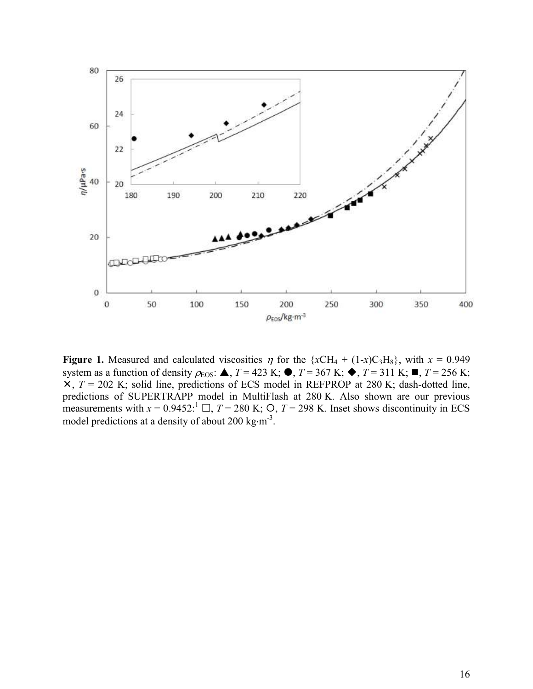

<span id="page-15-0"></span>**Figure 1.** Measured and calculated viscosities  $\eta$  for the {*x*CH<sub>4</sub> + (1-*x*)C<sub>3</sub>H<sub>8</sub>}, with *x* = 0.949 system as a function of density  $\rho_{\text{EOS}}$ :  $\blacktriangle$ ,  $T = 423$  K;  $\blacktriangleright$ ,  $T = 367$  K;  $\blacktriangleright$ ,  $T = 311$  K;  $\blacktriangleright$ ,  $T = 256$  K;  $\overline{X}$ ,  $T = 202$  K; solid line, predictions of ECS model in REFPROP at 280 K; dash-dotted line, predictions of SUPERTRAPP model in MultiFlash at 280 K. Also shown are our previous measurements with  $x = 0.9452$ :<sup>[1](#page-12-0)</sup>  $\Box$ ,  $T = 280$  K;  $\Theta$ ,  $T = 298$  K. Inset shows discontinuity in ECS model predictions at a density of about 200 kg $\cdot$ m<sup>-3</sup>.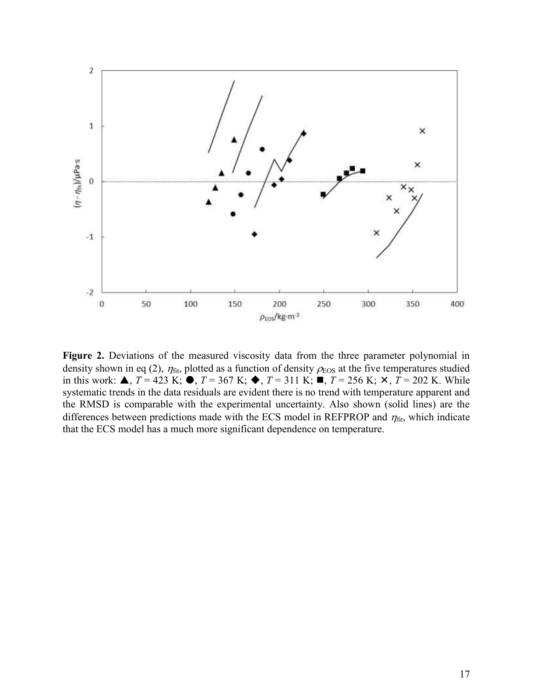

<span id="page-16-0"></span>Figure 2. Deviations of the measured viscosity data from the three parameter polynomial in density shown in eq [\(2\),](#page-7-0)  $\eta_{\text{fit}}$ , plotted as a function of density  $\rho_{\text{EOS}}$  at the five temperatures studied in this work:  $\triangle$ ,  $T = 423$  K;  $\triangle$ ,  $T = 367$  K;  $\triangle$ ,  $T = 311$  K;  $\triangle$ ,  $T = 256$  K;  $\times$ ,  $T = 202$  K. While systematic trends in the data residuals are evident there is no trend with temperature apparent and the RMSD is comparable with the experimental uncertainty. Also shown (solid lines) are the differences between predictions made with the ECS model in REFPROP and  $\eta_{\text{fit}}$ , which indicate that the ECS model has a much more significant dependence on temperature.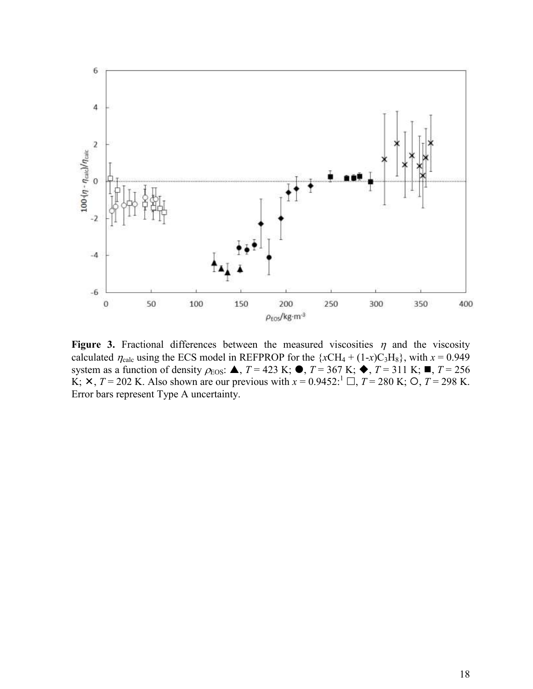

<span id="page-17-0"></span>**Figure 3.** Fractional differences between the measured viscosities  $\eta$  and the viscosity calculated  $\eta_{\text{calc}}$  using the ECS model in REFPROP for the { $xCH_4 + (1-x)C_3H_8$ }, with  $x = 0.949$ system as a function of density  $\rho_{\text{EOS}}$ :  $\blacktriangle$ ,  $T = 423$  K;  $\blacklozenge$ ,  $T = 367$  K;  $\blacklozenge$ ,  $T = 311$  K;  $\blacktriangleright$ ,  $T = 256$  $\overline{K}$ ;  $\times$ ,  $T = 202$  K. Also shown are our previous with  $x = 0.9452$ [:](#page-12-0)  $\overline{L}$ ,  $T = 280$  K;  $\overline{O}$ ,  $T = 298$  K. Error bars represent Type A uncertainty.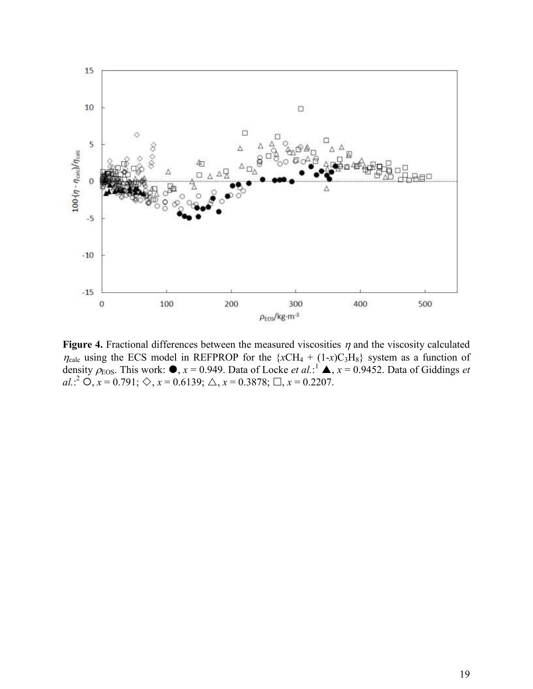

<span id="page-18-0"></span>**Figure 4.** Fractional differences between the measured viscosities  $\eta$  and the viscosity calculated  $\eta_{\text{calc}}$  using the ECS model in REFPROP for the  $\{xCH_4 + (1-x)C_3H_8\}$  system as a function of density  $\rho_{\text{EOS}}$ . This work:  $\bullet$ ,  $x = 0.949$ . Data of Locke *et al.*:<sup>[1](#page-12-0)</sup>  $\bullet$ ,  $x = 0.9452$ . Data of Giddings *et al.*[:](#page-12-1)<sup>2</sup>  $\overrightarrow{O}$ ,  $x = 0.791$ ;  $\diamondsuit$ ,  $x = 0.6139$ ;  $\triangle$ ,  $x = 0.3878$ ;  $\Box$ ,  $x = 0.2207$ .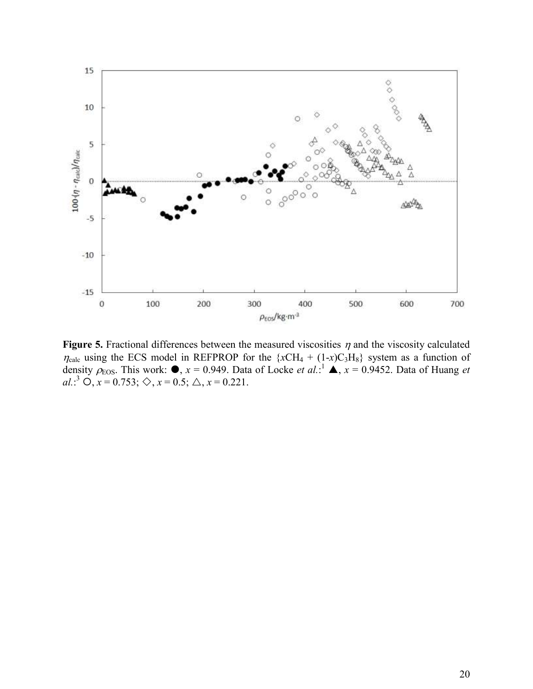

<span id="page-19-0"></span>**Figure 5.** Fractional differences between the measured viscosities  $\eta$  and the viscosity calculated  $\eta_{\text{calc}}$  using the ECS model in REFPROP for the  $\{xCH_4 + (1-x)C_3H_8\}$  system as a function of density  $\rho_{\text{EOS}}$ . This work:  $\bullet$ ,  $x = 0.949$ . Data of Locke *et al.*:<sup>[1](#page-12-0)</sup>  $\bullet$ ,  $x = 0.9452$ . Data of Huang *et al.*[:](#page-12-2)<sup>3</sup>  $\overrightarrow{O}$ ,  $x = 0.753$ ;  $\diamondsuit$ ,  $x = 0.5$ ;  $\triangle$ ,  $x = 0.221$ .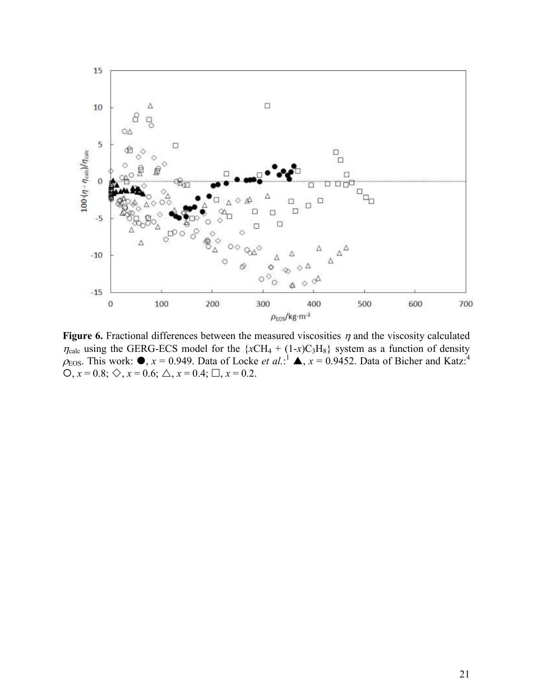

<span id="page-20-0"></span>**Figure 6.** Fractional differences between the measured viscosities  $\eta$  and the viscosity calculated  $\eta_{\text{calc}}$  using the GERG-ECS model for the  $\{xCH_4 + (1-x)C_3H_8\}$  system as a function of density  $\rho_{\text{EOS}}$ . This work[:](#page-12-0)  $\bullet$ ,  $x = 0.949$  $x = 0.949$  $x = 0.949$ . Data of Locke *et al.*:<sup>1</sup>  $\bullet$ ,  $x = 0.9452$ . Data of Bicher and Katz:<sup>4</sup>  $Q, x = 0.8; \diamondsuit, x = 0.6; \triangle, x = 0.4; \square, x = 0.2.$